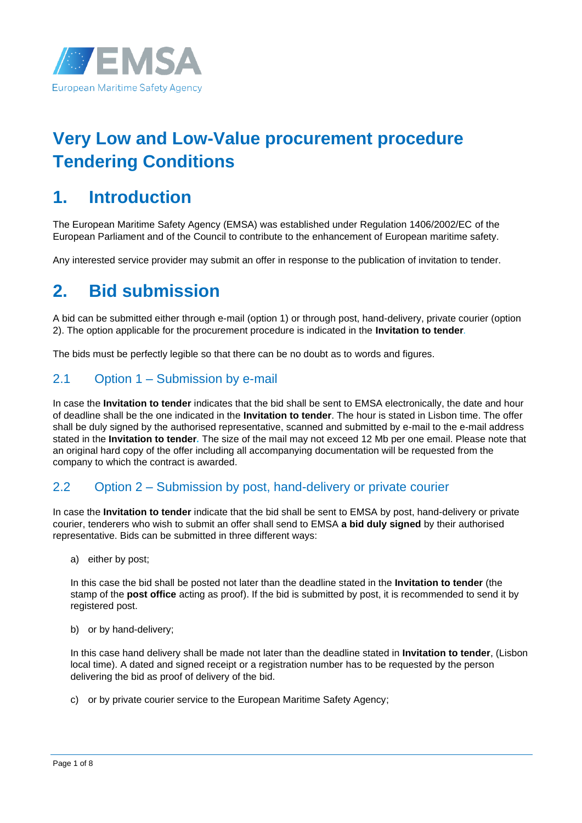

# **Very Low and Low-Value procurement procedure Tendering Conditions**

# **1. Introduction**

The European Maritime Safety Agency (EMSA) was established under Regulation 1406/2002/EC of the European Parliament and of the Council to contribute to the enhancement of European maritime safety.

Any interested service provider may submit an offer in response to the publication of invitation to tender.

# **2. Bid submission**

A bid can be submitted either through e-mail (option 1) or through post, hand-delivery, private courier (option 2). The option applicable for the procurement procedure is indicated in the **Invitation to tender***.*

The bids must be perfectly legible so that there can be no doubt as to words and figures.

### 2.1 Option 1 – Submission by e-mail

In case the **Invitation to tender** indicates that the bid shall be sent to EMSA electronically, the date and hour of deadline shall be the one indicated in the **Invitation to tender**. The hour is stated in Lisbon time. The offer shall be duly signed by the authorised representative, scanned and submitted by e-mail to the e-mail address stated in the **Invitation to tender***.* The size of the mail may not exceed 12 Mb per one email. Please note that an original hard copy of the offer including all accompanying documentation will be requested from the company to which the contract is awarded.

### 2.2 Option 2 – Submission by post, hand-delivery or private courier

In case the **Invitation to tender** indicate that the bid shall be sent to EMSA by post, hand-delivery or private courier, tenderers who wish to submit an offer shall send to EMSA **a bid duly signed** by their authorised representative. Bids can be submitted in three different ways:

a) either by post;

In this case the bid shall be posted not later than the deadline stated in the **Invitation to tender** (the stamp of the **post office** acting as proof). If the bid is submitted by post, it is recommended to send it by registered post.

b) or by hand-delivery;

In this case hand delivery shall be made not later than the deadline stated in **Invitation to tender**, (Lisbon local time). A dated and signed receipt or a registration number has to be requested by the person delivering the bid as proof of delivery of the bid.

c) or by private courier service to the European Maritime Safety Agency;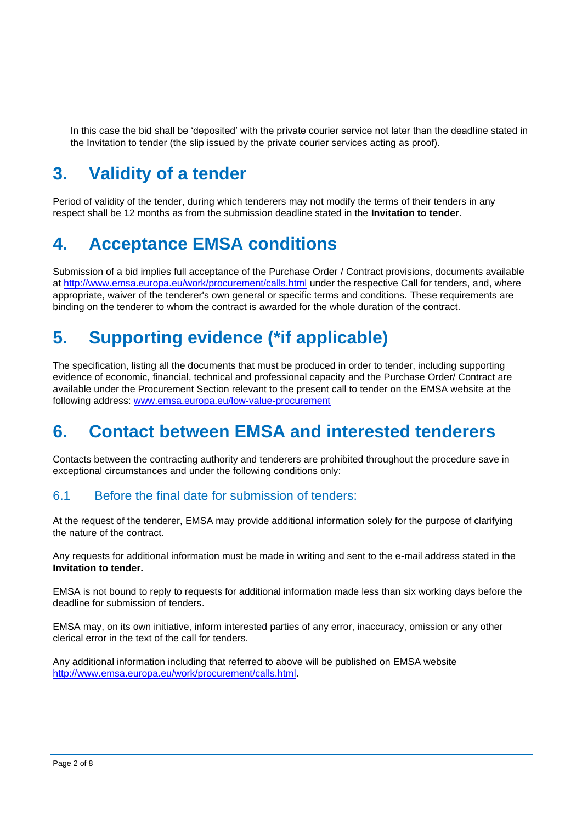In this case the bid shall be 'deposited' with the private courier service not later than the deadline stated in the Invitation to tender (the slip issued by the private courier services acting as proof).

# **3. Validity of a tender**

Period of validity of the tender, during which tenderers may not modify the terms of their tenders in any respect shall be 12 months as from the submission deadline stated in the **Invitation to tender**.

## **4. Acceptance EMSA conditions**

Submission of a bid implies full acceptance of the Purchase Order / Contract provisions, documents available at<http://www.emsa.europa.eu/work/procurement/calls.html> under the respective Call for tenders, and, where appropriate, waiver of the tenderer's own general or specific terms and conditions. These requirements are binding on the tenderer to whom the contract is awarded for the whole duration of the contract.

# **5. Supporting evidence (\*if applicable)**

The specification, listing all the documents that must be produced in order to tender, including supporting evidence of economic, financial, technical and professional capacity and the Purchase Order/ Contract are available under the Procurement Section relevant to the present call to tender on the EMSA website at the following address: [www.emsa.europa.eu/](http://www.emsa.europa.eu/)low-value-procurement

## **6. Contact between EMSA and interested tenderers**

Contacts between the contracting authority and tenderers are prohibited throughout the procedure save in exceptional circumstances and under the following conditions only:

### 6.1 Before the final date for submission of tenders:

At the request of the tenderer, EMSA may provide additional information solely for the purpose of clarifying the nature of the contract.

Any requests for additional information must be made in writing and sent to the e-mail address stated in the **Invitation to tender.**

EMSA is not bound to reply to requests for additional information made less than six working days before the deadline for submission of tenders.

EMSA may, on its own initiative, inform interested parties of any error, inaccuracy, omission or any other clerical error in the text of the call for tenders.

Any additional information including that referred to above will be published on EMSA website [http://www.emsa.europa.eu/work/procurement/calls.html.](http://www.emsa.europa.eu/work/procurement/calls.html)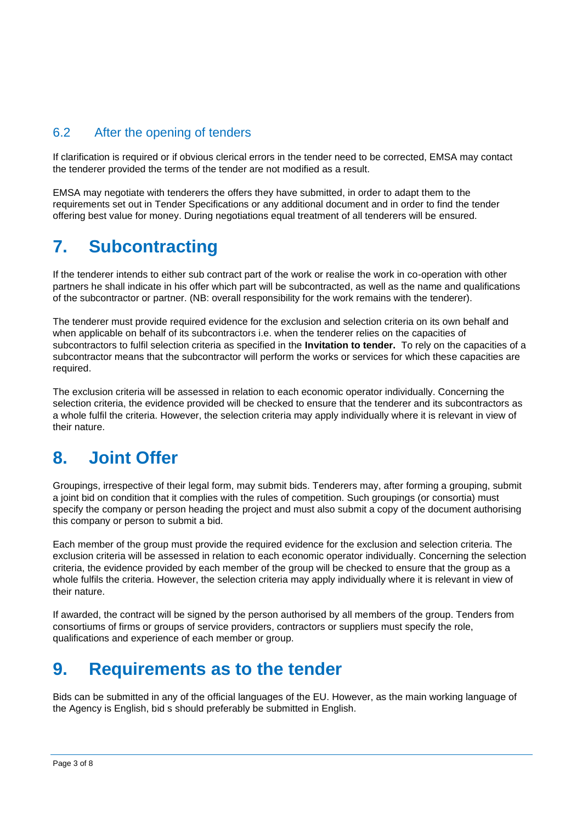### 6.2 After the opening of tenders

If clarification is required or if obvious clerical errors in the tender need to be corrected, EMSA may contact the tenderer provided the terms of the tender are not modified as a result.

EMSA may negotiate with tenderers the offers they have submitted, in order to adapt them to the requirements set out in Tender Specifications or any additional document and in order to find the tender offering best value for money. During negotiations equal treatment of all tenderers will be ensured.

### **7. Subcontracting**

If the tenderer intends to either sub contract part of the work or realise the work in co-operation with other partners he shall indicate in his offer which part will be subcontracted, as well as the name and qualifications of the subcontractor or partner. (NB: overall responsibility for the work remains with the tenderer).

The tenderer must provide required evidence for the exclusion and selection criteria on its own behalf and when applicable on behalf of its subcontractors i.e. when the tenderer relies on the capacities of subcontractors to fulfil selection criteria as specified in the **Invitation to tender.** To rely on the capacities of a subcontractor means that the subcontractor will perform the works or services for which these capacities are required.

The exclusion criteria will be assessed in relation to each economic operator individually. Concerning the selection criteria, the evidence provided will be checked to ensure that the tenderer and its subcontractors as a whole fulfil the criteria. However, the selection criteria may apply individually where it is relevant in view of their nature.

# **8. Joint Offer**

Groupings, irrespective of their legal form, may submit bids. Tenderers may, after forming a grouping, submit a joint bid on condition that it complies with the rules of competition. Such groupings (or consortia) must specify the company or person heading the project and must also submit a copy of the document authorising this company or person to submit a bid.

Each member of the group must provide the required evidence for the exclusion and selection criteria. The exclusion criteria will be assessed in relation to each economic operator individually. Concerning the selection criteria, the evidence provided by each member of the group will be checked to ensure that the group as a whole fulfils the criteria. However, the selection criteria may apply individually where it is relevant in view of their nature.

If awarded, the contract will be signed by the person authorised by all members of the group. Tenders from consortiums of firms or groups of service providers, contractors or suppliers must specify the role, qualifications and experience of each member or group.

## **9. Requirements as to the tender**

Bids can be submitted in any of the official languages of the EU. However, as the main working language of the Agency is English, bid s should preferably be submitted in English.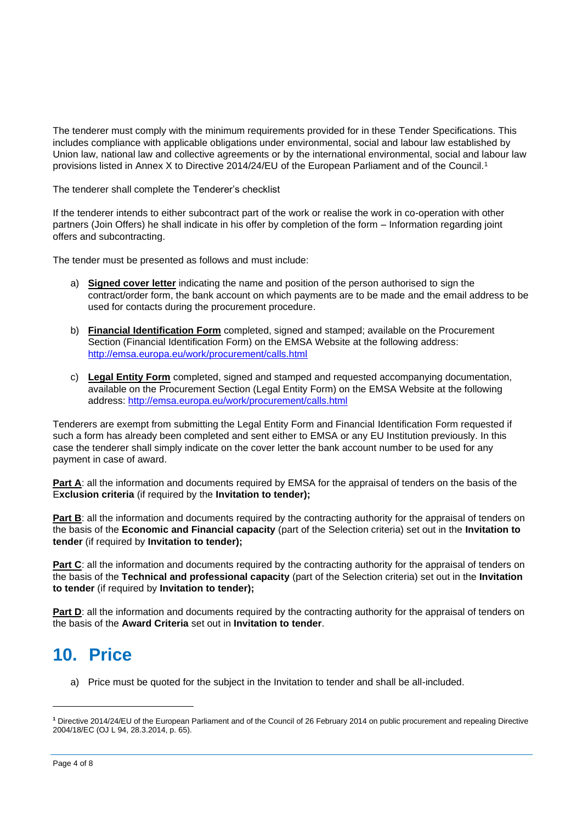The tenderer must comply with the minimum requirements provided for in these Tender Specifications. This includes compliance with applicable obligations under environmental, social and labour law established by Union law, national law and collective agreements or by the international environmental, social and labour law provisions listed in Annex X to Directive 2014/24/EU of the European Parliament and of the Council.<sup>1</sup>

The tenderer shall complete the Tenderer's checklist

If the tenderer intends to either subcontract part of the work or realise the work in co-operation with other partners (Join Offers) he shall indicate in his offer by completion of the form – Information regarding joint offers and subcontracting.

The tender must be presented as follows and must include:

- a) **Signed cover letter** indicating the name and position of the person authorised to sign the contract/order form, the bank account on which payments are to be made and the email address to be used for contacts during the procurement procedure.
- b) **Financial Identification Form** completed, signed and stamped; available on the Procurement Section (Financial Identification Form) on the EMSA Website at the following address: <http://emsa.europa.eu/work/procurement/calls.html>
- c) **Legal Entity Form** completed, signed and stamped and requested accompanying documentation, available on the Procurement Section (Legal Entity Form) on the EMSA Website at the following address:<http://emsa.europa.eu/work/procurement/calls.html>

Tenderers are exempt from submitting the Legal Entity Form and Financial Identification Form requested if such a form has already been completed and sent either to EMSA or any EU Institution previously. In this case the tenderer shall simply indicate on the cover letter the bank account number to be used for any payment in case of award.

**Part A:** all the information and documents required by EMSA for the appraisal of tenders on the basis of the E**xclusion criteria** (if required by the **Invitation to tender);**

**Part B**: all the information and documents required by the contracting authority for the appraisal of tenders on the basis of the **Economic and Financial capacity** (part of the Selection criteria) set out in the **Invitation to tender** (if required by **Invitation to tender);**

**Part C**: all the information and documents required by the contracting authority for the appraisal of tenders on the basis of the **Technical and professional capacity** (part of the Selection criteria) set out in the **Invitation to tender** (if required by **Invitation to tender);**

**Part D**: all the information and documents required by the contracting authority for the appraisal of tenders on the basis of the **Award Criteria** set out in **Invitation to tender**.

### **10. Price**

a) Price must be quoted for the subject in the Invitation to tender and shall be all-included.

**<sup>1</sup>** Directive 2014/24/EU of the European Parliament and of the Council of 26 February 2014 on public procurement and repealing Directive 2004/18/EC (OJ L 94, 28.3.2014, p. 65).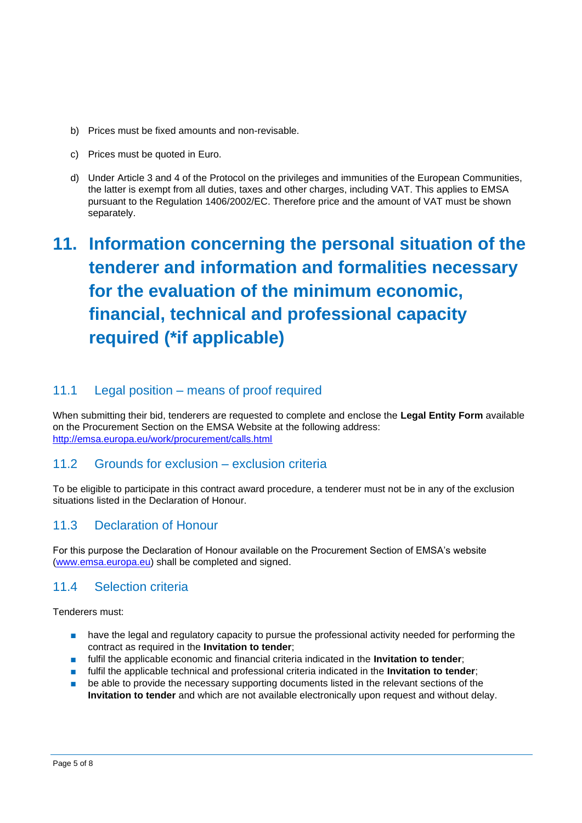- b) Prices must be fixed amounts and non-revisable.
- c) Prices must be quoted in Euro.
- d) Under Article 3 and 4 of the Protocol on the privileges and immunities of the European Communities, the latter is exempt from all duties, taxes and other charges, including VAT. This applies to EMSA pursuant to the Regulation 1406/2002/EC. Therefore price and the amount of VAT must be shown separately.

# **11. Information concerning the personal situation of the tenderer and information and formalities necessary for the evaluation of the minimum economic, financial, technical and professional capacity required (\*if applicable)**

### 11.1 Legal position – means of proof required

When submitting their bid, tenderers are requested to complete and enclose the **Legal Entity Form** available on the Procurement Section on the EMSA Website at the following address: <http://emsa.europa.eu/work/procurement/calls.html>

### 11.2 Grounds for exclusion – exclusion criteria

To be eligible to participate in this contract award procedure, a tenderer must not be in any of the exclusion situations listed in the Declaration of Honour.

### 11.3 Declaration of Honour

For this purpose the Declaration of Honour available on the Procurement Section of EMSA's website [\(www.emsa.europa.eu\)](http://www.emsa.europa.eu/) shall be completed and signed.

### 11.4 Selection criteria

Tenderers must:

- have the legal and regulatory capacity to pursue the professional activity needed for performing the contract as required in the **Invitation to tender**;
- fulfil the applicable economic and financial criteria indicated in the **Invitation to tender**;
- fulfil the applicable technical and professional criteria indicated in the **Invitation to tender**;
- be able to provide the necessary supporting documents listed in the relevant sections of the **Invitation to tender** and which are not available electronically upon request and without delay.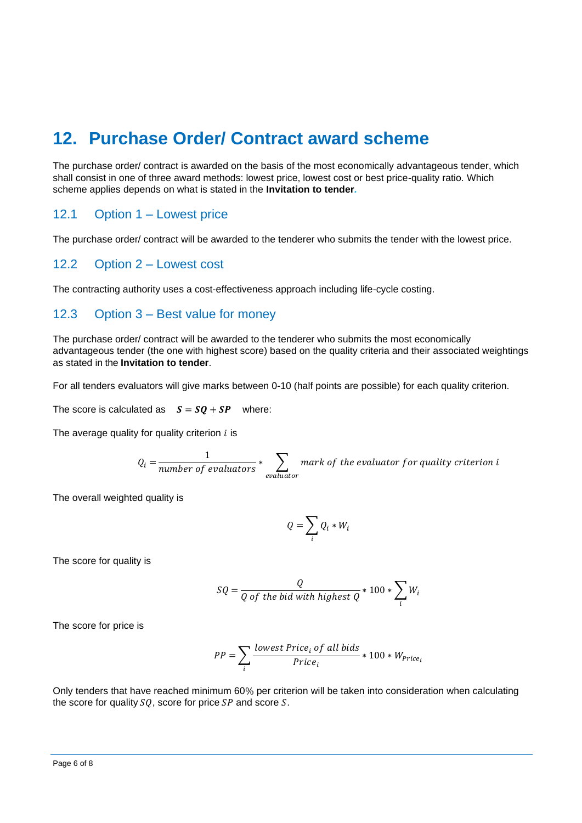# **12. Purchase Order/ Contract award scheme**

The purchase order/ contract is awarded on the basis of the most economically advantageous tender, which shall consist in one of three award methods: lowest price, lowest cost or best price-quality ratio. Which scheme applies depends on what is stated in the **Invitation to tender***.*

### 12.1 Option 1 – Lowest price

The purchase order/ contract will be awarded to the tenderer who submits the tender with the lowest price.

### 12.2 Option 2 – Lowest cost

The contracting authority uses a cost-effectiveness approach including life-cycle costing.

### 12.3 Option 3 – Best value for money

The purchase order/ contract will be awarded to the tenderer who submits the most economically advantageous tender (the one with highest score) based on the quality criteria and their associated weightings as stated in the **Invitation to tender**.

For all tenders evaluators will give marks between 0-10 (half points are possible) for each quality criterion.

The score is calculated as  $S = SQ + SP$  where:

The average quality for quality criterion  $i$  is

$$
Q_i = \frac{1}{number\ of\ evaluators} * \sum_{evaluator} mark\ of\ the\ evaluator\ for\ quality\ criterion\ i
$$

The overall weighted quality is

$$
Q = \sum_i Q_i * W_i
$$

The score for quality is

$$
SQ = \frac{Q}{Q \text{ of the bid with highest } Q} * 100 * \sum_{i} W_i
$$

The score for price is

$$
PP = \sum_{i} \frac{lowest\ Price_i \ of\ all\ bids}{Price_i} * 100 * W_{Price_i}
$$

Only tenders that have reached minimum 60% per criterion will be taken into consideration when calculating the score for quality  $SO$ , score for price  $SP$  and score  $S$ .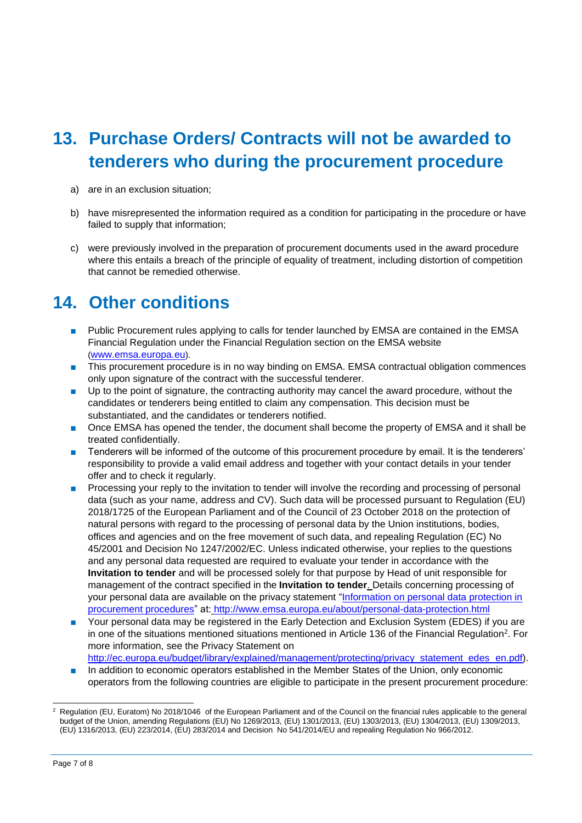# **13. Purchase Orders/ Contracts will not be awarded to tenderers who during the procurement procedure**

- a) are in an exclusion situation;
- b) have misrepresented the information required as a condition for participating in the procedure or have failed to supply that information;
- c) were previously involved in the preparation of procurement documents used in the award procedure where this entails a breach of the principle of equality of treatment, including distortion of competition that cannot be remedied otherwise.

# **14. Other conditions**

- Public Procurement rules applying to calls for tender launched by EMSA are contained in the EMSA Financial Regulation under the Financial Regulation section on the EMSA website ([www.emsa.europa.eu](http://www.emsa.europa.eu/)).
- This procurement procedure is in no way binding on EMSA. EMSA contractual obligation commences only upon signature of the contract with the successful tenderer.
- Up to the point of signature, the contracting authority may cancel the award procedure, without the candidates or tenderers being entitled to claim any compensation. This decision must be substantiated, and the candidates or tenderers notified.
- Once EMSA has opened the tender, the document shall become the property of EMSA and it shall be treated confidentially.
- Tenderers will be informed of the outcome of this procurement procedure by email. It is the tenderers' responsibility to provide a valid email address and together with your contact details in your tender offer and to check it regularly.
- Processing your reply to the invitation to tender will involve the recording and processing of personal data (such as your name, address and CV). Such data will be processed pursuant to Regulation (EU) 2018/1725 of the European Parliament and of the Council of 23 October 2018 on the protection of natural persons with regard to the processing of personal data by the Union institutions, bodies, offices and agencies and on the free movement of such data, and repealing Regulation (EC) No 45/2001 and Decision No 1247/2002/EC. Unless indicated otherwise, your replies to the questions and any personal data requested are required to evaluate your tender in accordance with the **Invitation to tender** and will be processed solely for that purpose by Head of unit responsible for management of the contract specified in the **Invitation to tender**. Details concerning processing of your personal data are available on the privacy statement ["Information on personal data protection in](http://www.emsa.europa.eu/about/personal-data-protection/download/344/133/23.html)  [procurement procedures"](http://www.emsa.europa.eu/about/personal-data-protection/download/344/133/23.html) at: <http://www.emsa.europa.eu/about/personal-data-protection.html>
- Your personal data may be registered in the Early Detection and Exclusion System (EDES) if you are in one of the situations mentioned situations mentioned in Article 136 of the Financial Regulation<sup>2</sup>. For more information, see the Privacy Statement on [http://ec.europa.eu/budget/library/explained/management/protecting/privacy\\_statement\\_edes\\_en.pdf\)](http://ec.europa.eu/budget/library/explained/management/protecting/privacy_statement_edes_en.pdf).
- In addition to economic operators established in the Member States of the Union, only economic operators from the following countries are eligible to participate in the present procurement procedure:

<sup>2</sup> Regulation (EU, Euratom) No 2018/1046 of the European Parliament and of the Council on the financial rules applicable to the general budget of the Union, amending Regulations (EU) No 1269/2013, (EU) 1301/2013, (EU) 1303/2013, (EU) 1304/2013, (EU) 1309/2013, (EU) 1316/2013, (EU) 223/2014, (EU) 283/2014 and Decision No 541/2014/EU and repealing Regulation No 966/2012.